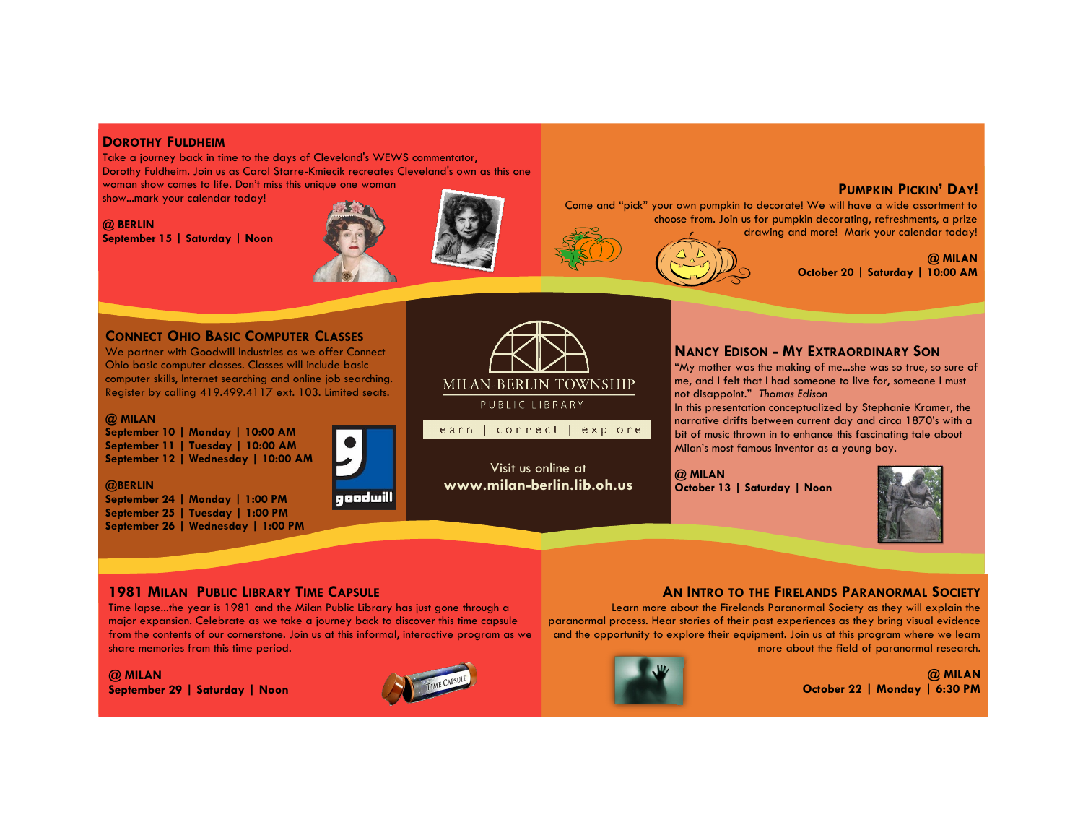## **DOROTHY FULDHEIM**

Take a journey back in time to the days of Cleveland's WEWS commentator, Dorothy Fuldheim. Join us as Carol Starre-Kmiecik recreates Cleveland's own as this one woman show comes to life. Don't miss this unique one woman

show...mark your calendar today!

#### **@ BERLIN**

**September 15 | Saturday | Noon** 





### **PUMPKIN PICKIN' DAY!**

Come and "pick" your own pumpkin to decorate! We will have a wide assortment to choose from. Join us for pumpkin decorating, refreshments, a prize drawing and more! Mark your calendar today!

> **@ MILAN October 20 | Saturday | 10:00 AM**

### **CONNECT OHIO BASIC COMPUTER CLASSES**

We partner with Goodwill Industries as we offer Connect Ohio basic computer classes. Classes will include basic computer skills, Internet searching and online job searching. Register by calling 419.499.4117 ext. 103. Limited seats.

#### **@ MILAN**

**@BERLIN**

**September 10 | Monday | 10:00 AM September 11 | Tuesday | 10:00 AM September 12 | Wednesday | 10:00 AM**

**September 24 | Monday | 1:00 PM September 25 | Tuesday | 1:00 PM September 26 | Wednesday | 1:00 PM**



goodwill



Visit us online at **www.milan-berlin.lib.oh.us** 

# **NANCY EDISON - MY EXTRAORDINARY SON**

"My mother was the making of me...she was so true, so sure of me, and I felt that I had someone to live for, someone I must not disappoint." *Thomas Edison*

In this presentation conceptualized by Stephanie Kramer, the narrative drifts between current day and circa 1870's with a bit of music thrown in to enhance this fascinating tale about Milan's most famous inventor as a young boy.

**@ MILAN October 13 | Saturday | Noon** 



# **1981 MILAN PUBLIC LIBRARY TIME CAPSULE**

Time lapse...the year is 1981 and the Milan Public Library has just gone through a major expansion. Celebrate as we take a journey back to discover this time capsule from the contents of our cornerstone. Join us at this informal, interactive program as we share memories from this time period.

#### **@ MILAN**

**September 29 | Saturday | Noon**



# **AN INTRO TO THE FIRELANDS PARANORMAL SOCIETY**

Learn more about the Firelands Paranormal Society as they will explain the paranormal process. Hear stories of their past experiences as they bring visual evidence and the opportunity to explore their equipment. Join us at this program where we learn more about the field of paranormal research.

> **@ MILAN October 22 | Monday | 6:30 PM**